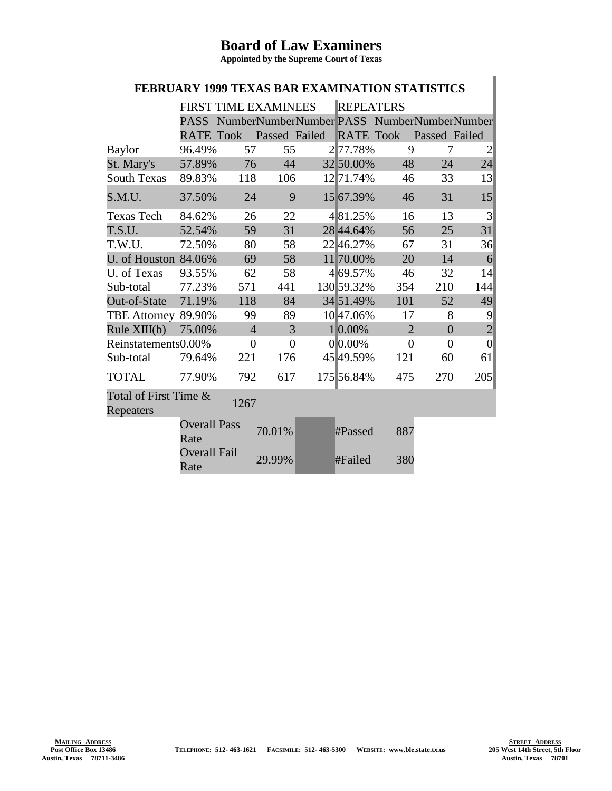## **Board of Law Examiners**

**Appointed by the Supreme Court of Texas**

## **FEBRUARY 1999 TEXAS BAR EXAMINATION STATISTICS**

|                                            | <b>FIRST TIME EXAMINEES</b> |                |               | <b>REPEATERS</b> |                  |                |                |                                            |
|--------------------------------------------|-----------------------------|----------------|---------------|------------------|------------------|----------------|----------------|--------------------------------------------|
|                                            | <b>PASS</b>                 |                |               |                  |                  |                |                | NumberNumberNumber PASS NumberNumberNumber |
|                                            | <b>RATE Took</b>            |                | Passed Failed |                  | <b>RATE Took</b> |                | Passed Failed  |                                            |
| <b>Baylor</b>                              | 96.49%                      | 57             | 55            |                  | 277.78%          | 9              | 7              | $\overline{c}$                             |
| St. Mary's                                 | 57.89%                      | 76             | 44            |                  | 32 50.00%        | 48             | 24             | 24                                         |
| <b>South Texas</b>                         | 89.83%                      | 118            | 106           |                  | 12 71.74%        | 46             | 33             | 13                                         |
| S.M.U.                                     | 37.50%                      | 24             | 9             |                  | 15 67.39%        | 46             | 31             | 15                                         |
| <b>Texas Tech</b>                          | 84.62%                      | 26             | 22            |                  | 481.25%          | 16             | 13             | 3                                          |
| T.S.U.                                     | 52.54%                      | 59             | 31            |                  | 28 44.64%        | 56             | 25             | 31                                         |
| T.W.U.                                     | 72.50%                      | 80             | 58            |                  | 22 46.27%        | 67             | 31             | 36                                         |
| U. of Houston 84.06%                       |                             | 69             | 58            |                  | 11 70.00%        | 20             | 14             | 6                                          |
| U. of Texas                                | 93.55%                      | 62             | 58            |                  | 4 69.57%         | 46             | 32             | 14                                         |
| Sub-total                                  | 77.23%                      | 571            | 441           |                  | 130 59.32%       | 354            | 210            | 144                                        |
| Out-of-State                               | 71.19%                      | 118            | 84            |                  | 34 51.49%        | 101            | 52             | 49                                         |
| <b>TBE Attorney</b>                        | 89.90%                      | 99             | 89            |                  | 10 47.06%        | 17             | 8              | 9                                          |
| Rule XIII(b)                               | 75.00%                      | $\overline{4}$ | 3             |                  | 1 0.00%          | $\overline{2}$ | $\overline{0}$ | $\overline{2}$                             |
| Reinstatements0.00%                        |                             | $\theta$       | $\theta$      |                  | $0 0.00\%$       | $\theta$       | $\overline{0}$ | $\overline{0}$                             |
| Sub-total                                  | 79.64%                      | 221            | 176           |                  | 45 49.59%        | 121            | 60             | 61                                         |
| <b>TOTAL</b>                               | 77.90%                      | 792            | 617           |                  | 175 56.84%       | 475            | 270            | 205                                        |
| Total of First Time &<br>1267<br>Repeaters |                             |                |               |                  |                  |                |                |                                            |
|                                            | <b>Overall Pass</b><br>Rate |                | 70.01%        |                  | #Passed          | 887            |                |                                            |
|                                            | <b>Overall Fail</b><br>Rate |                | 29.99%        |                  | #Failed          | 380            |                |                                            |